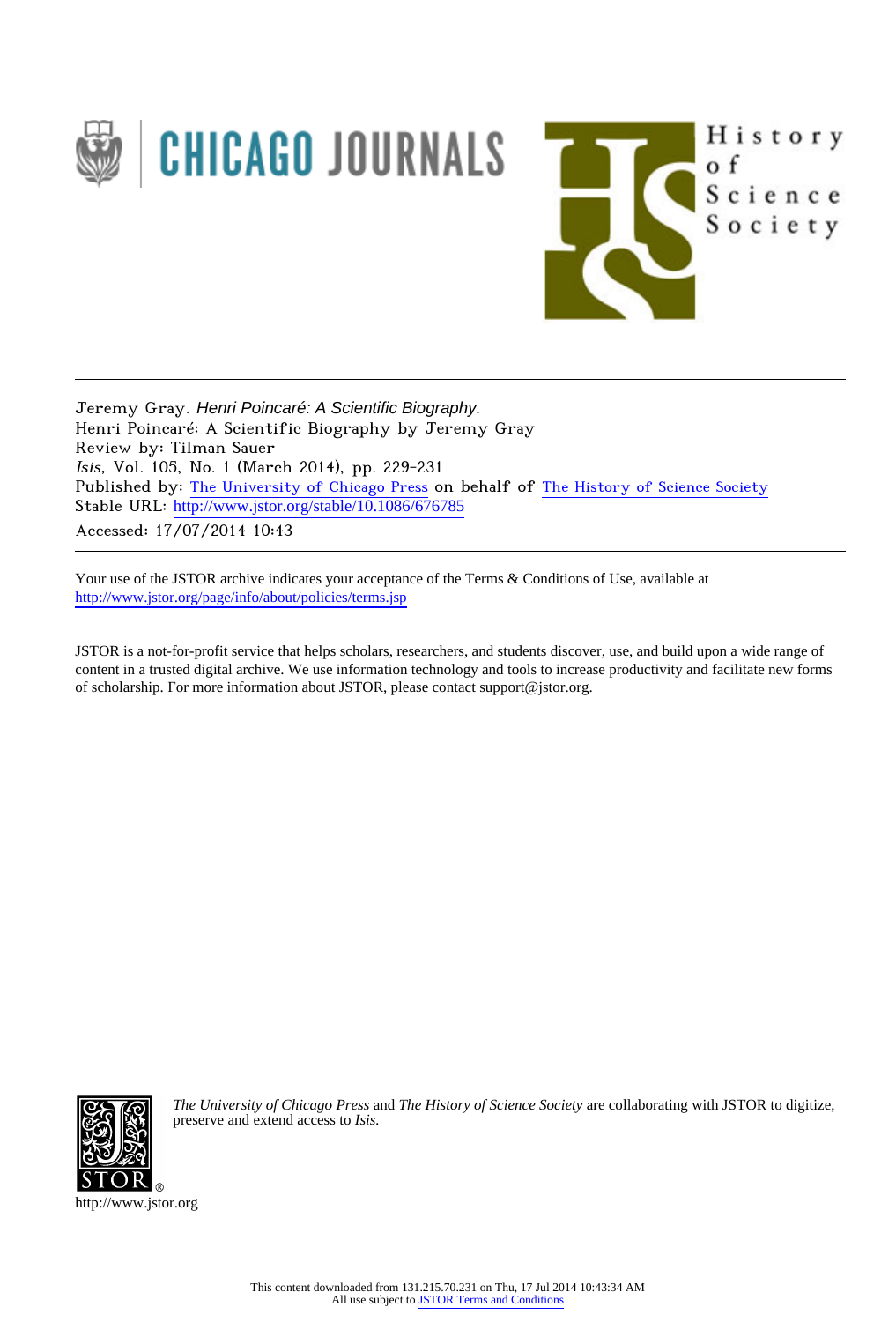

Jeremy Gray. Henri Poincaré: A Scientific Biography. Henri Poincaré: A Scientific Biography by Jeremy Gray Review by: Tilman Sauer Isis, Vol. 105, No. 1 (March 2014), pp. 229-231 Published by: [The University of Chicago Press](http://www.jstor.org/action/showPublisher?publisherCode=ucpress) on behalf of [The History of Science Society](http://www.jstor.org/action/showPublisher?publisherCode=hss) Stable URL: http://www.jstor.org/stable/10.1086/676785

Accessed: 17/07/2014 10:43

Your use of the JSTOR archive indicates your acceptance of the Terms & Conditions of Use, available at <http://www.jstor.org/page/info/about/policies/terms.jsp>

JSTOR is a not-for-profit service that helps scholars, researchers, and students discover, use, and build upon a wide range of content in a trusted digital archive. We use information technology and tools to increase productivity and facilitate new forms of scholarship. For more information about JSTOR, please contact support@jstor.org.



*The University of Chicago Press* and *The History of Science Society* are collaborating with JSTOR to digitize, preserve and extend access to *Isis.*

http://www.jstor.org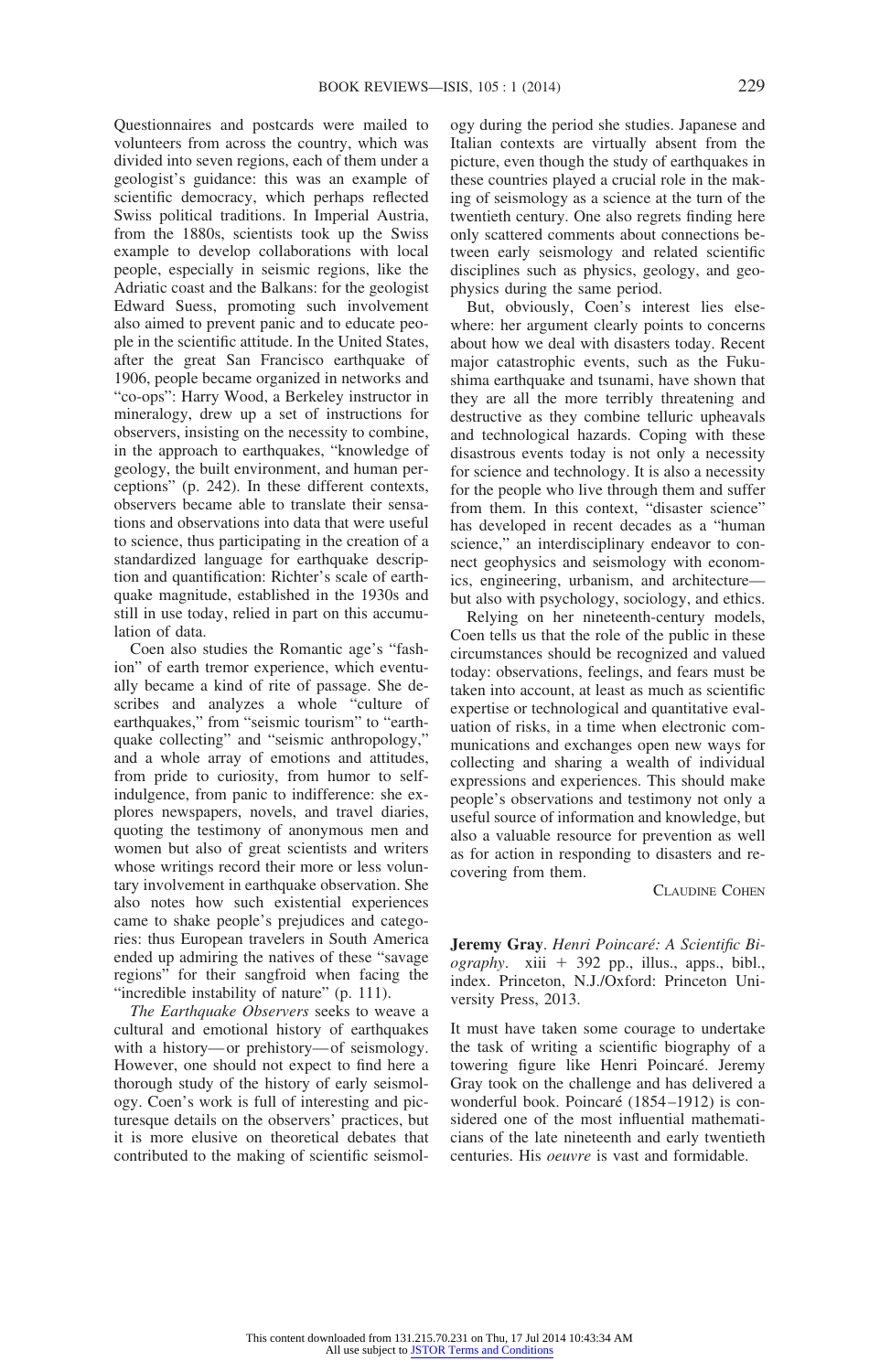Questionnaires and postcards were mailed to volunteers from across the country, which was divided into seven regions, each of them under a geologist's guidance: this was an example of scientific democracy, which perhaps reflected Swiss political traditions. In Imperial Austria, from the 1880s, scientists took up the Swiss example to develop collaborations with local people, especially in seismic regions, like the Adriatic coast and the Balkans: for the geologist Edward Suess, promoting such involvement also aimed to prevent panic and to educate people in the scientific attitude. In the United States, after the great San Francisco earthquake of 1906, people became organized in networks and "co-ops": Harry Wood, a Berkeley instructor in mineralogy, drew up a set of instructions for observers, insisting on the necessity to combine, in the approach to earthquakes, "knowledge of geology, the built environment, and human perceptions" (p. 242). In these different contexts, observers became able to translate their sensations and observations into data that were useful to science, thus participating in the creation of a standardized language for earthquake description and quantification: Richter's scale of earthquake magnitude, established in the 1930s and still in use today, relied in part on this accumulation of data.

Coen also studies the Romantic age's "fashion" of earth tremor experience, which eventually became a kind of rite of passage. She describes and analyzes a whole "culture of earthquakes," from "seismic tourism" to "earthquake collecting" and "seismic anthropology," and a whole array of emotions and attitudes, from pride to curiosity, from humor to selfindulgence, from panic to indifference: she explores newspapers, novels, and travel diaries, quoting the testimony of anonymous men and women but also of great scientists and writers whose writings record their more or less voluntary involvement in earthquake observation. She also notes how such existential experiences came to shake people's prejudices and categories: thus European travelers in South America ended up admiring the natives of these "savage regions" for their sangfroid when facing the "incredible instability of nature" (p. 111).

*The Earthquake Observers* seeks to weave a cultural and emotional history of earthquakes with a history—or prehistory—of seismology. However, one should not expect to find here a thorough study of the history of early seismology. Coen's work is full of interesting and picturesque details on the observers' practices, but it is more elusive on theoretical debates that contributed to the making of scientific seismology during the period she studies. Japanese and Italian contexts are virtually absent from the picture, even though the study of earthquakes in these countries played a crucial role in the making of seismology as a science at the turn of the twentieth century. One also regrets finding here only scattered comments about connections between early seismology and related scientific disciplines such as physics, geology, and geophysics during the same period.

But, obviously, Coen's interest lies elsewhere: her argument clearly points to concerns about how we deal with disasters today. Recent major catastrophic events, such as the Fukushima earthquake and tsunami, have shown that they are all the more terribly threatening and destructive as they combine telluric upheavals and technological hazards. Coping with these disastrous events today is not only a necessity for science and technology. It is also a necessity for the people who live through them and suffer from them. In this context, "disaster science" has developed in recent decades as a "human science," an interdisciplinary endeavor to connect geophysics and seismology with economics, engineering, urbanism, and architecture but also with psychology, sociology, and ethics.

Relying on her nineteenth-century models, Coen tells us that the role of the public in these circumstances should be recognized and valued today: observations, feelings, and fears must be taken into account, at least as much as scientific expertise or technological and quantitative evaluation of risks, in a time when electronic communications and exchanges open new ways for collecting and sharing a wealth of individual expressions and experiences. This should make people's observations and testimony not only a useful source of information and knowledge, but also a valuable resource for prevention as well as for action in responding to disasters and recovering from them.

CLAUDINE COHEN

**Jeremy Gray**. *Henri Poincare´: A Scientific Bi* $ography$ . xiii  $+392$  pp., illus., apps., bibl., index. Princeton, N.J./Oxford: Princeton University Press, 2013.

It must have taken some courage to undertake the task of writing a scientific biography of a towering figure like Henri Poincaré. Jeremy Gray took on the challenge and has delivered a wonderful book. Poincaré (1854–1912) is considered one of the most influential mathematicians of the late nineteenth and early twentieth centuries. His *oeuvre* is vast and formidable.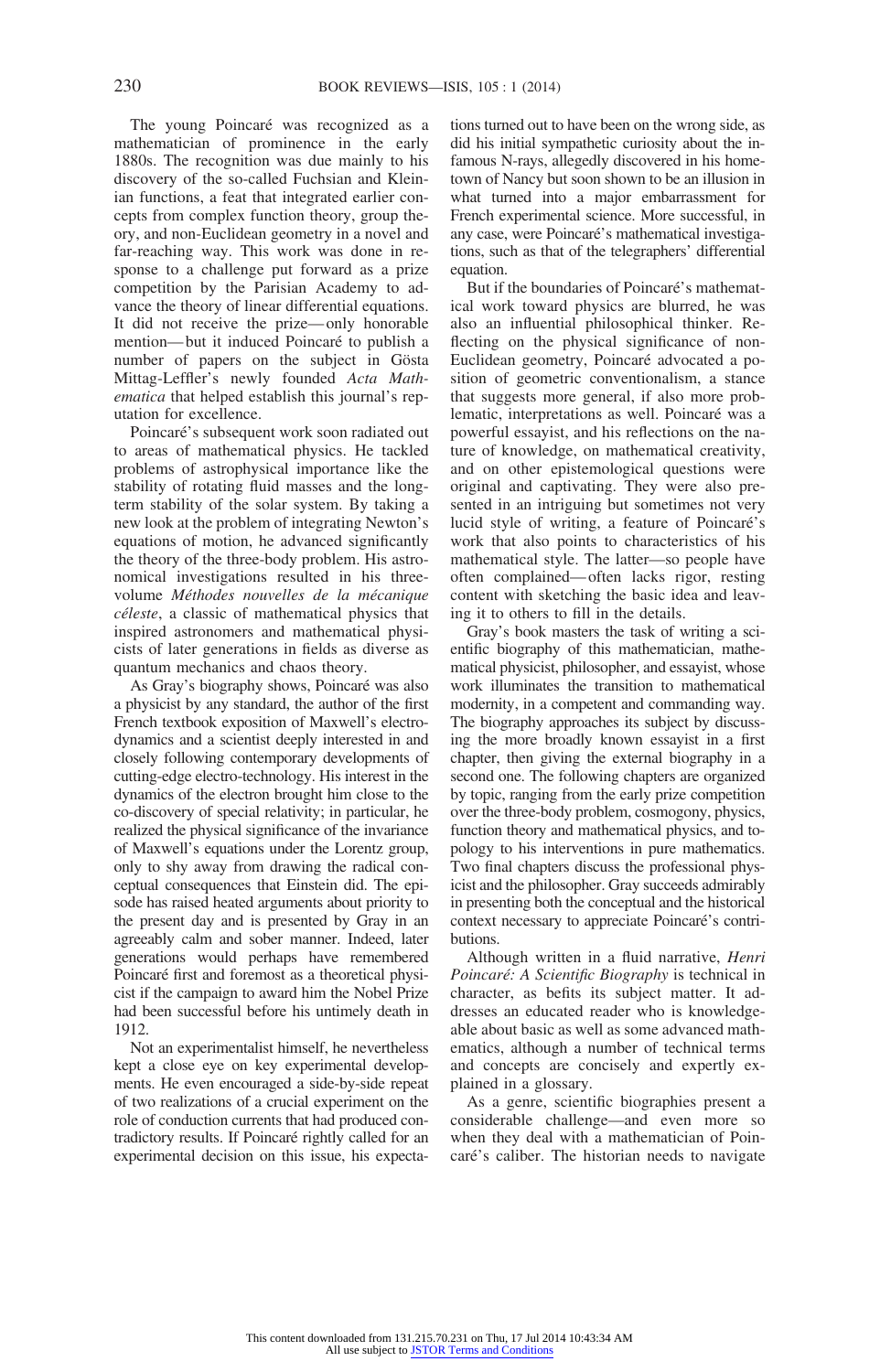The young Poincaré was recognized as a mathematician of prominence in the early 1880s. The recognition was due mainly to his discovery of the so-called Fuchsian and Kleinian functions, a feat that integrated earlier concepts from complex function theory, group theory, and non-Euclidean geometry in a novel and far-reaching way. This work was done in response to a challenge put forward as a prize competition by the Parisian Academy to advance the theory of linear differential equations. It did not receive the prize—only honorable mention—but it induced Poincaré to publish a number of papers on the subject in Gösta Mittag-Leffler's newly founded *Acta Mathematica* that helped establish this journal's reputation for excellence.

Poincaré's subsequent work soon radiated out to areas of mathematical physics. He tackled problems of astrophysical importance like the stability of rotating fluid masses and the longterm stability of the solar system. By taking a new look at the problem of integrating Newton's equations of motion, he advanced significantly the theory of the three-body problem. His astronomical investigations resulted in his threevolume *Me´thodes nouvelles de la me´canique ce´leste*, a classic of mathematical physics that inspired astronomers and mathematical physicists of later generations in fields as diverse as quantum mechanics and chaos theory.

As Gray's biography shows, Poincaré was also a physicist by any standard, the author of the first French textbook exposition of Maxwell's electrodynamics and a scientist deeply interested in and closely following contemporary developments of cutting-edge electro-technology. His interest in the dynamics of the electron brought him close to the co-discovery of special relativity; in particular, he realized the physical significance of the invariance of Maxwell's equations under the Lorentz group, only to shy away from drawing the radical conceptual consequences that Einstein did. The episode has raised heated arguments about priority to the present day and is presented by Gray in an agreeably calm and sober manner. Indeed, later generations would perhaps have remembered Poincaré first and foremost as a theoretical physicist if the campaign to award him the Nobel Prize had been successful before his untimely death in 1912.

Not an experimentalist himself, he nevertheless kept a close eye on key experimental developments. He even encouraged a side-by-side repeat of two realizations of a crucial experiment on the role of conduction currents that had produced contradictory results. If Poincaré rightly called for an experimental decision on this issue, his expectations turned out to have been on the wrong side, as did his initial sympathetic curiosity about the infamous N-rays, allegedly discovered in his hometown of Nancy but soon shown to be an illusion in what turned into a major embarrassment for French experimental science. More successful, in any case, were Poincaré's mathematical investigations, such as that of the telegraphers' differential equation.

But if the boundaries of Poincaré's mathematical work toward physics are blurred, he was also an influential philosophical thinker. Reflecting on the physical significance of non-Euclidean geometry, Poincaré advocated a position of geometric conventionalism, a stance that suggests more general, if also more problematic, interpretations as well. Poincaré was a powerful essayist, and his reflections on the nature of knowledge, on mathematical creativity, and on other epistemological questions were original and captivating. They were also presented in an intriguing but sometimes not very lucid style of writing, a feature of Poincaré's work that also points to characteristics of his mathematical style. The latter—so people have often complained—often lacks rigor, resting content with sketching the basic idea and leaving it to others to fill in the details.

Gray's book masters the task of writing a scientific biography of this mathematician, mathematical physicist, philosopher, and essayist, whose work illuminates the transition to mathematical modernity, in a competent and commanding way. The biography approaches its subject by discussing the more broadly known essayist in a first chapter, then giving the external biography in a second one. The following chapters are organized by topic, ranging from the early prize competition over the three-body problem, cosmogony, physics, function theory and mathematical physics, and topology to his interventions in pure mathematics. Two final chapters discuss the professional physicist and the philosopher. Gray succeeds admirably in presenting both the conceptual and the historical context necessary to appreciate Poincaré's contributions.

Although written in a fluid narrative, *Henri Poincare´: A Scientific Biography* is technical in character, as befits its subject matter. It addresses an educated reader who is knowledgeable about basic as well as some advanced mathematics, although a number of technical terms and concepts are concisely and expertly explained in a glossary.

As a genre, scientific biographies present a considerable challenge—and even more so when they deal with a mathematician of Poincaré's caliber. The historian needs to navigate